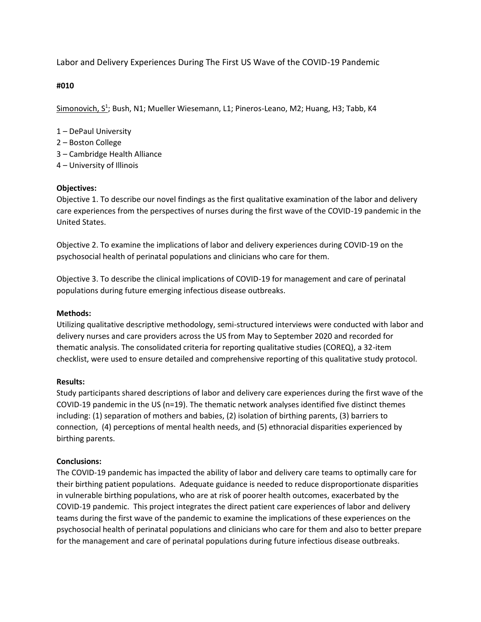Labor and Delivery Experiences During The First US Wave of the COVID-19 Pandemic

**#010**

Simonovich, S<sup>1</sup>; Bush, N1; Mueller Wiesemann, L1; Pineros-Leano, M2; Huang, H3; Tabb, K4

- 1 DePaul University
- 2 Boston College
- 3 Cambridge Health Alliance
- 4 University of Illinois

## **Objectives:**

Objective 1. To describe our novel findings as the first qualitative examination of the labor and delivery care experiences from the perspectives of nurses during the first wave of the COVID-19 pandemic in the United States.

Objective 2. To examine the implications of labor and delivery experiences during COVID-19 on the psychosocial health of perinatal populations and clinicians who care for them.

Objective 3. To describe the clinical implications of COVID-19 for management and care of perinatal populations during future emerging infectious disease outbreaks.

## **Methods:**

Utilizing qualitative descriptive methodology, semi-structured interviews were conducted with labor and delivery nurses and care providers across the US from May to September 2020 and recorded for thematic analysis. The consolidated criteria for reporting qualitative studies (COREQ), a 32-item checklist, were used to ensure detailed and comprehensive reporting of this qualitative study protocol.

## **Results:**

Study participants shared descriptions of labor and delivery care experiences during the first wave of the COVID-19 pandemic in the US (n=19). The thematic network analyses identified five distinct themes including: (1) separation of mothers and babies, (2) isolation of birthing parents, (3) barriers to connection, (4) perceptions of mental health needs, and (5) ethnoracial disparities experienced by birthing parents.

## **Conclusions:**

The COVID-19 pandemic has impacted the ability of labor and delivery care teams to optimally care for their birthing patient populations. Adequate guidance is needed to reduce disproportionate disparities in vulnerable birthing populations, who are at risk of poorer health outcomes, exacerbated by the COVID-19 pandemic. This project integrates the direct patient care experiences of labor and delivery teams during the first wave of the pandemic to examine the implications of these experiences on the psychosocial health of perinatal populations and clinicians who care for them and also to better prepare for the management and care of perinatal populations during future infectious disease outbreaks.